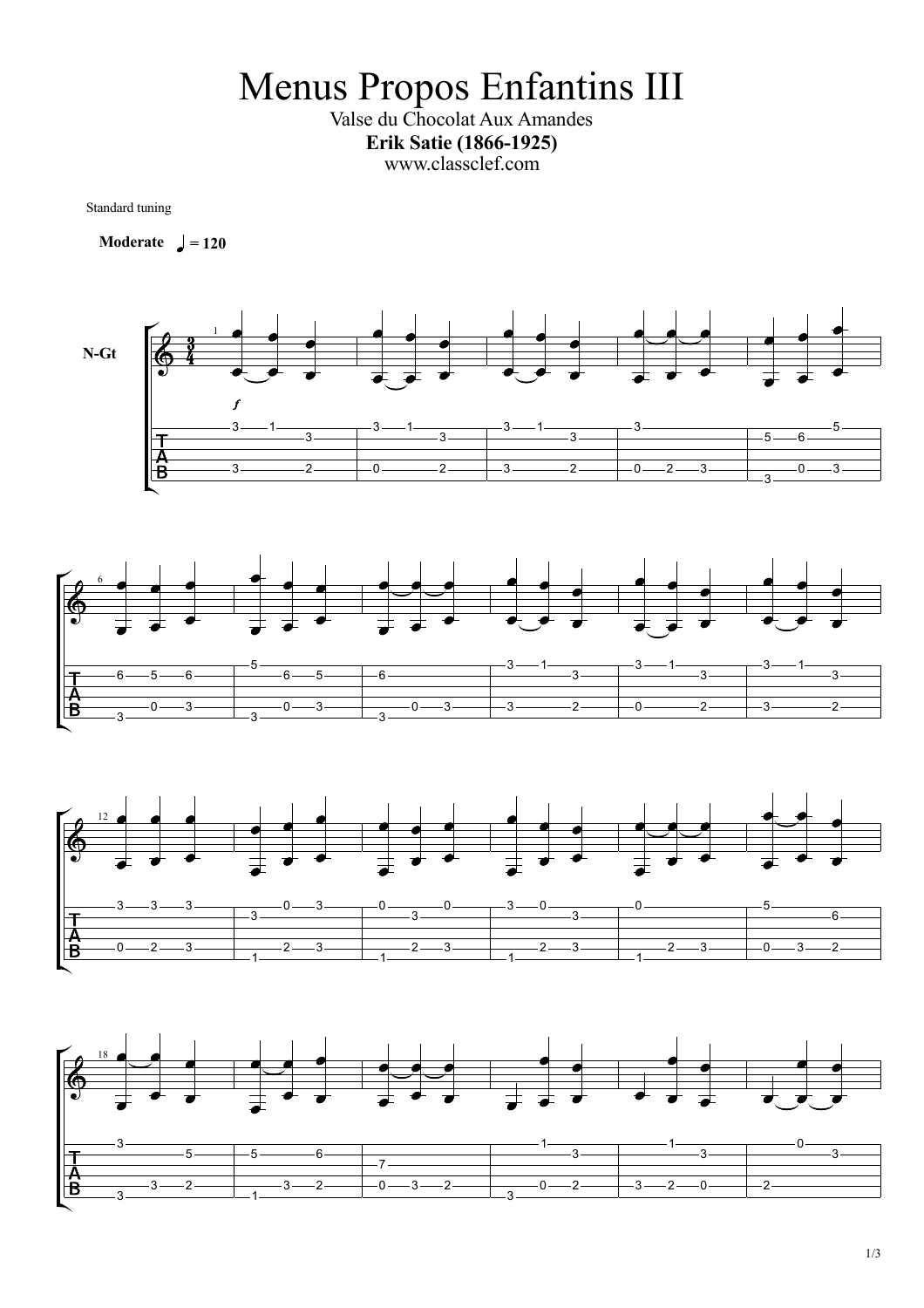## Menus Propos Enfantins III

Valse du Chocolat Aux Amandes **Erik Satie (1866-1925)** www.classclef.com

Standard tuning

**Moderate = 120**







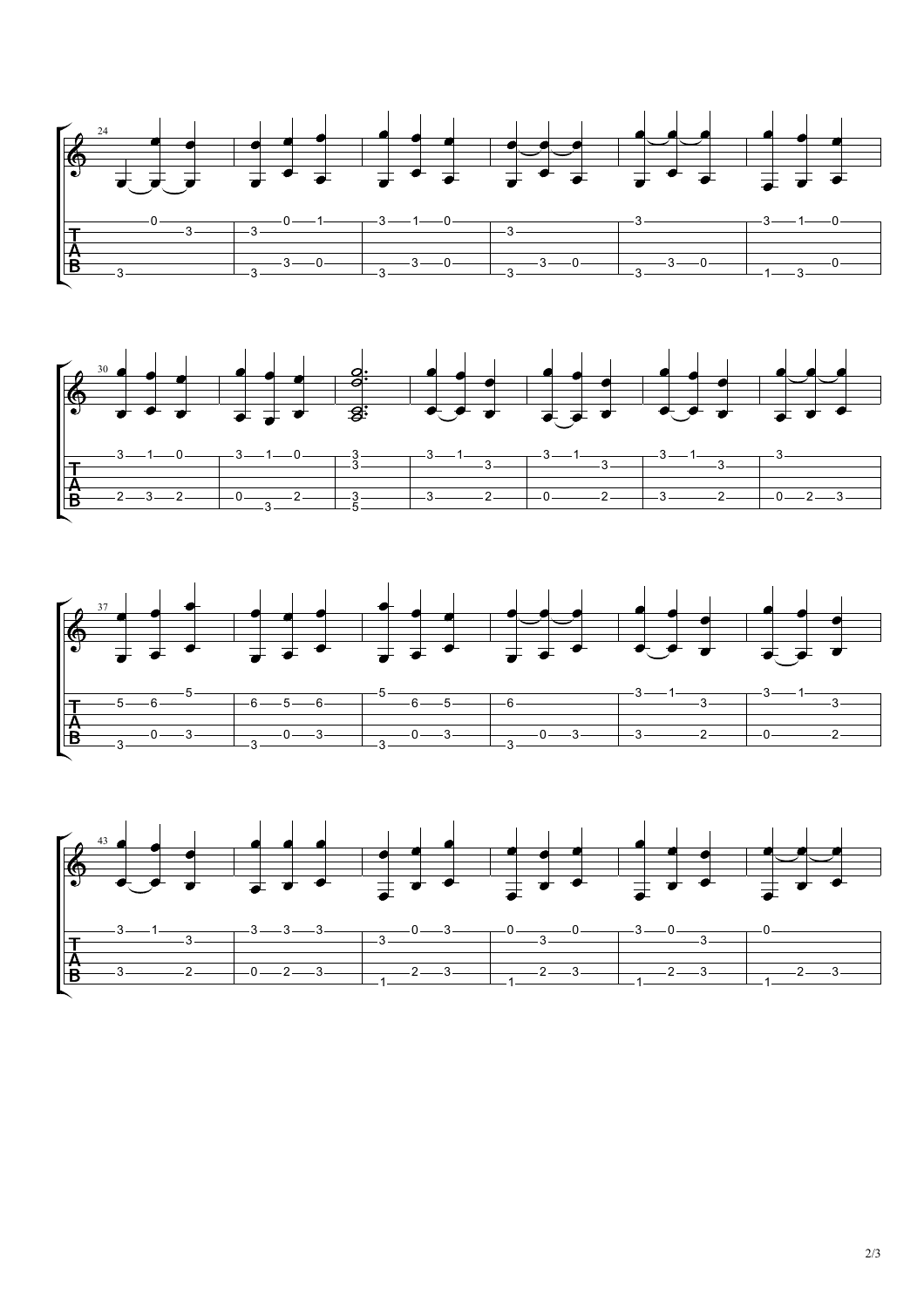